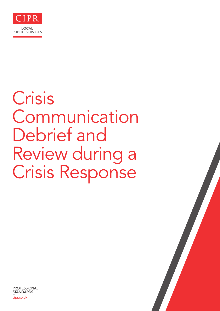

# Crisis Communication Debrief and Review during a Crisis Response

PROFESSIONAL **STANDARDS**  – cipr.co.uk

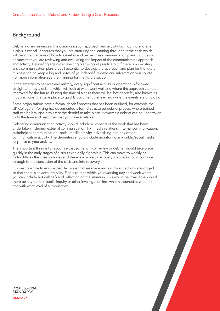## **Background**

Debriefing and reviewing the communication approach and activity both during and after a crisis is critical. It ensures that you are capturing the learning throughout the crisis which will become the basis of how to develop and revise crisis communication plans. But it also ensures that you are reviewing and evaluating the impact of the communication approach and activity. Debriefing against an existing plan is good practice but if there is no existing crisis communication plan it is still essential to develop the approach and plan for the future. It is essential to keep a log and notes of your debrief, reviews and information you collate. For more information see the Planning for the Future section

In the emergency services and military, every significant activity or operation is followed straight after by a debrief which will look at what went well and where the approach could be improved for the future. During the time of a crisis there will be 'hot debriefs', also known as 'hot wash-ups' that take place to quickly document the learning while the events are unfolding.

Some organisations have a formal debrief process that has been outlined, for example the UK College of Policing has documented a formal structured debrief process where trained staff can be brought in to assist the debrief to take place. However, a debrief can be undertaken to fit the time and resources that you have available.

Debriefing communication activity should include all aspects of the work that has been undertaken including external communication, PR, media relations, internal communication, stakeholder communication, social media activity, advertising and any other communication activity. The debriefing should include monitoring any public/social media response to your activity.

The important thing is to recognise that some form of review or debrief should take place quickly in the early stages of a crisis even daily if possible. This can move to weekly or fortnightly as the crisis subsides and there is a move to recovery. Debriefs should continue through to the conclusion of the crisis and into recovery.

It is best practice to ensure that decisions that are made and significant actions are logged so that there is an accountability. Find a routine within your working day and week where you can include hot debriefs and reflection on the situation. This would be invaluable should there be any form of public inquiry or other investigation into what happened at what point and with what level of authorisation.

PROFESSIONAL **STANDARDS**  – cipr.co.uk

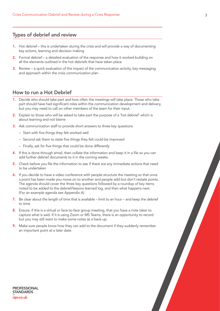## Types of debrief and review

- 1. Hot debrief this is undertaken during the crisis and will provide a way of documenting key actions, learning and decision making
- 2. Formal debrief a detailed evaluation of the response and how it worked building on all the elements outlined in the hot debriefs that have taken place
- **3.** Review a quick evaluation of the impact of the communication activity, key messaging and approach within the crisis communication plan

## How to run a Hot Debrief

- 1. Decide who should take part and how often the meetings will take place. Those who take part should have had significant roles within the communication development and delivery, but you may need to call on other members of the team for their input.
- 2. Explain to those who will be asked to take part the purpose of a 'hot debrief' which is about learning and not blame
- **3.** Ask communication staff to provide short answers to three key questions
	- Start with five things they felt worked well
	- Second ask them to state five things they felt could be improved
	- Finally, ask for five things that could be done differently
- 4. If this is done through email, then collate the information and keep it in a file so you can add further debrief documents to it in the coming weeks.
- 5. Check before you file the information to see if there are any immediate actions that need to be undertaken
- 6. If you decide to have a video conference with people structure the meeting so that once a point has been made you move on to another and people add but don't restate points. The agenda should cover the three key questions followed by a roundup of key items noted to be added to the debrief/lessons learned log, and then what happens next. (For an example agenda see Appendix A)
- 7. Be clear about the length of time that is available limit to an hour and keep the debrief to time
- 8. Ensure, if this is a virtual or face-to-face group meeting, that you have a note taker to capture what is said. If it is using Zoom or MS Teams, there is an opportunity to record but you may still want to make some notes as a back-up.
- 9. Make sure people know how they can add to the document if they suddenly remember an important point at a later date.

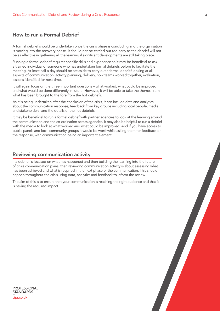# How to run a Formal Debrief

A formal debrief should be undertaken once the crisis phase is concluding and the organisation is moving into the recovery phase. It should not be carried out too early as the debrief will not be as effective in gathering all the learning if significant developments are still taking place.

Running a formal debrief requires specific skills and experience so it may be beneficial to ask a trained individual or someone who has undertaken formal debriefs before to facilitate the meeting. At least half a day should be set aside to carry out a formal debrief looking at all aspects of communication: activity planning, delivery, how teams worked together, evaluation, lessons identified for next time.

It will again focus on the three important questions – what worked, what could be improved and what would be done differently in future. However, it will be able to take the themes from what has been brought to the fore from the hot debriefs.

As it is being undertaken after the conclusion of the crisis, it can include data and analytics about the communication response, feedback from key groups including local people, media and stakeholders, and the details of the hot debriefs.

It may be beneficial to run a formal debrief with partner agencies to look at the learning around the communication and the co-ordination across agencies. It may also be helpful to run a debrief with the media to look at what worked and what could be improved. And if you have access to public panels and local community groups it would be worthwhile asking them for feedback on the response, with communication being an important element.

### Reviewing communication activity

If a debrief is focused on what has happened and then building the learning into the future of crisis communication plans, then reviewing communication activity is about assessing what has been achieved and what is required in the next phase of the communication. This should happen throughout the crisis using data, analytics and feedback to inform the review.

The aim of this is to ensure that your communication is reaching the right audience and that it is having the required impact.

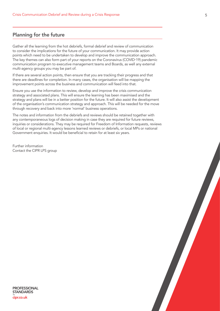## Planning for the future

Gather all the learning from the hot debriefs, formal debrief and review of communication to consider the implications for the future of your communication. It may provide action points which need to be undertaken to develop and improve the communication approach. The key themes can also form part of your reports on the Coronavirus (COVID-19) pandemic communication program to executive management teams and Boards, as well any external multi-agency groups you may be part of.

If there are several action points, then ensure that you are tracking their progress and that there are deadlines for completion. In many cases, the organisation will be mapping the improvement points across the business and communication will feed into that.

Ensure you use the information to review, develop and improve the crisis communication strategy and associated plans. This will ensure the learning has been maximised and the strategy and plans will be in a better position for the future. It will also assist the development of the organisation's communication strategy and approach. This will be needed for the move through recovery and back into more 'normal' business operations.

The notes and information from the debriefs and reviews should be retained together with any contemporaneous logs of decision making in case they are required for future reviews, inquiries or considerations. They may be required for Freedom of Information requests, reviews of local or regional multi-agency lessons learned reviews or debriefs, or local MPs or national Government enquiries. It would be beneficial to retain for at least six years.

Further information Contact the CIPR LPS group